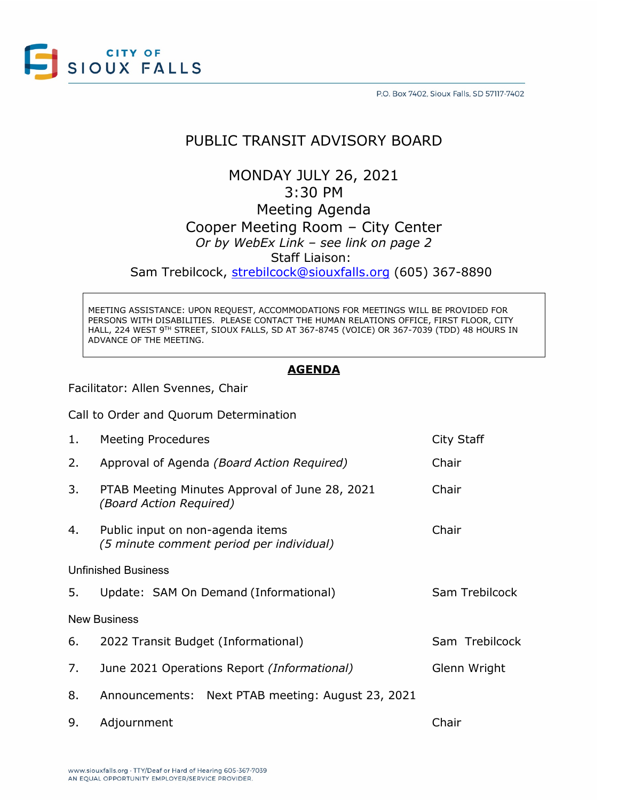

## PUBLIC TRANSIT ADVISORY BOARD

MONDAY JULY 26, 2021 3:30 PM Meeting Agenda Cooper Meeting Room – City Center *Or by WebEx Link – see link on page 2* Staff Liaison: Sam Trebilcock, [strebilcock@siouxfalls.org](mailto:strebilcock@siouxfalls.org) (605) 367-8890

MEETING ASSISTANCE: UPON REQUEST, ACCOMMODATIONS FOR MEETINGS WILL BE PROVIDED FOR PERSONS WITH DISABILITIES. PLEASE CONTACT THE HUMAN RELATIONS OFFICE, FIRST FLOOR, CITY HALL, 224 WEST 9TH STREET, SIOUX FALLS, SD AT 367-8745 (VOICE) OR 367-7039 (TDD) 48 HOURS IN ADVANCE OF THE MEETING.

#### **AGENDA**

Facilitator: Allen Svennes, Chair

Call to Order and Quorum Determination

| 1.                         | <b>Meeting Procedures</b>                                                    | City Staff     |
|----------------------------|------------------------------------------------------------------------------|----------------|
| 2.                         | Approval of Agenda (Board Action Required)                                   | Chair          |
| 3.                         | PTAB Meeting Minutes Approval of June 28, 2021<br>(Board Action Required)    | Chair          |
| 4.                         | Public input on non-agenda items<br>(5 minute comment period per individual) | Chair          |
| <b>Unfinished Business</b> |                                                                              |                |
| 5.                         | Update: SAM On Demand (Informational)                                        | Sam Trebilcock |
| <b>New Business</b>        |                                                                              |                |
| 6.                         | 2022 Transit Budget (Informational)                                          | Sam Trebilcock |
| 7.                         | June 2021 Operations Report (Informational)                                  | Glenn Wright   |
| 8.                         | Announcements: Next PTAB meeting: August 23, 2021                            |                |
| 9.                         | Adjournment                                                                  | Chair          |